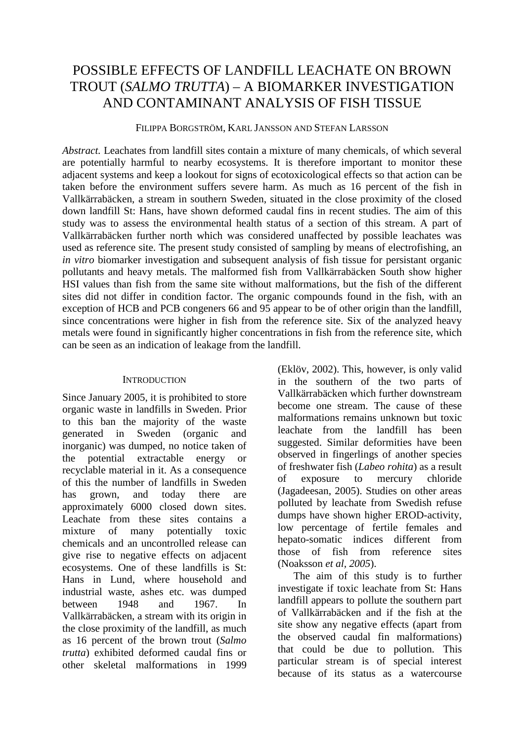# POSSIBLE EFFECTS OF LANDFILL LEACHATE ON BROWN TROUT (*SALMO TRUTTA*) – A BIOMARKER INVESTIGATION AND CONTAMINANT ANALYSIS OF FISH TISSUE

FILIPPA BORGSTRÖM, KARL JANSSON AND STEFAN LARSSON

*Abstract.* Leachates from landfill sites contain a mixture of many chemicals, of which several are potentially harmful to nearby ecosystems. It is therefore important to monitor these adjacent systems and keep a lookout for signs of ecotoxicological effects so that action can be taken before the environment suffers severe harm. As much as 16 percent of the fish in Vallkärrabäcken, a stream in southern Sweden, situated in the close proximity of the closed down landfill St: Hans, have shown deformed caudal fins in recent studies. The aim of this study was to assess the environmental health status of a section of this stream. A part of Vallkärrabäcken further north which was considered unaffected by possible leachates was used as reference site. The present study consisted of sampling by means of electrofishing, an *in vitro* biomarker investigation and subsequent analysis of fish tissue for persistant organic pollutants and heavy metals. The malformed fish from Vallkärrabäcken South show higher HSI values than fish from the same site without malformations, but the fish of the different sites did not differ in condition factor. The organic compounds found in the fish, with an exception of HCB and PCB congeners 66 and 95 appear to be of other origin than the landfill, since concentrations were higher in fish from the reference site. Six of the analyzed heavy metals were found in significantly higher concentrations in fish from the reference site, which can be seen as an indication of leakage from the landfill.

## **INTRODUCTION**

Since January 2005, it is prohibited to store organic waste in landfills in Sweden. Prior to this ban the majority of the waste generated in Sweden (organic and inorganic) was dumped, no notice taken of the potential extractable energy or recyclable material in it. As a consequence of this the number of landfills in Sweden has grown, and today there are approximately 6000 closed down sites. Leachate from these sites contains a mixture of many potentially toxic chemicals and an uncontrolled release can give rise to negative effects on adjacent ecosystems. One of these landfills is St: Hans in Lund, where household and industrial waste, ashes etc. was dumped between 1948 and 1967. In Vallkärrabäcken, a stream with its origin in the close proximity of the landfill, as much as 16 percent of the brown trout (*Salmo trutta*) exhibited deformed caudal fins or other skeletal malformations in 1999

(Eklöv, 2002). This, however, is only valid in the southern of the two parts of Vallkärrabäcken which further downstream become one stream. The cause of these malformations remains unknown but toxic leachate from the landfill has been suggested. Similar deformities have been observed in fingerlings of another species of freshwater fish (*Labeo rohita*) as a result of exposure to mercury chloride (Jagadeesan, 2005). Studies on other areas polluted by leachate from Swedish refuse dumps have shown higher EROD-activity, low percentage of fertile females and hepato-somatic indices different from those of fish from reference sites (Noaksson *et al, 2005*).

The aim of this study is to further investigate if toxic leachate from St: Hans landfill appears to pollute the southern part of Vallkärrabäcken and if the fish at the site show any negative effects (apart from the observed caudal fin malformations) that could be due to pollution. This particular stream is of special interest because of its status as a watercourse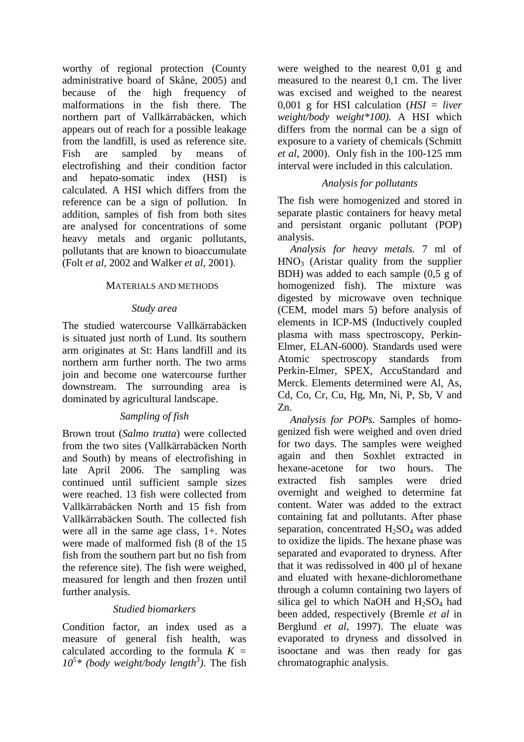worthy of regional protection (County administrative board of Skåne, 2005) and because of the high frequency of malformations in the fish there. The northern part of Vallkärrabäcken, which appears out of reach for a possible leakage from the landfill, is used as reference site. Fish are sampled by means of electrofishing and their condition factor and hepato-somatic index (HSI) is calculated. A HSI which differs from the reference can be a sign of pollution. In addition, samples of fish from both sites are analysed for concentrations of some heavy metals and organic pollutants, pollutants that are known to bioaccumulate (Folt *et al*, 2002 and Walker *et al*, 2001).

## MATERIALS AND METHODS

### *Study area*

The studied watercourse Vallkärrabäcken is situated just north of Lund. Its southern arm originates at St: Hans landfill and its northern arm further north. The two arms join and become one watercourse further downstream. The surrounding area is dominated by agricultural landscape.

# *Sampling of fish*

Brown trout (*Salmo trutta*) were collected from the two sites (Vallkärrabäcken North and South) by means of electrofishing in late April 2006. The sampling was continued until sufficient sample sizes were reached. 13 fish were collected from Vallkärrabäcken North and 15 fish from Vallkärrabäcken South. The collected fish were all in the same age class, 1+. Notes were made of malformed fish (8 of the 15 fish from the southern part but no fish from the reference site). The fish were weighed, measured for length and then frozen until further analysis.

## *Studied biomarkers*

Condition factor, an index used as a measure of general fish health, was calculated according to the formula *K =*   $10^5$ <sup>\*</sup> (body weight/body length<sup>3</sup>). The fish were weighed to the nearest 0,01 g and measured to the nearest 0,1 cm. The liver was excised and weighed to the nearest 0,001 g for HSI calculation (*HSI = liver weight/body weight\*100).* A HSI which differs from the normal can be a sign of exposure to a variety of chemicals (Schmitt *et al*, 2000). Only fish in the 100-125 mm interval were included in this calculation.

# *Analysis for pollutants*

The fish were homogenized and stored in separate plastic containers for heavy metal and persistant organic pollutant (POP) analysis.

*Analysis for heavy metals.* 7 ml of  $HNO<sub>3</sub>$  (Aristar quality from the supplier BDH) was added to each sample (0,5 g of homogenized fish). The mixture was digested by microwave oven technique (CEM, model mars 5) before analysis of elements in ICP-MS (Inductively coupled plasma with mass spectroscopy, Perkin-Elmer, ELAN-6000). Standards used were Atomic spectroscopy standards from Perkin-Elmer, SPEX, AccuStandard and Merck. Elements determined were Al, As, Cd, Co, Cr, Cu, Hg, Mn, Ni, P, Sb, V and Zn.

*Analysis for POPs.* Samples of homogenized fish were weighed and oven dried for two days. The samples were weighed again and then Soxhlet extracted in hexane-acetone for two hours. The extracted fish samples were dried overnight and weighed to determine fat content. Water was added to the extract containing fat and pollutants. After phase separation, concentrated  $H_2SO_4$  was added to oxidize the lipids. The hexane phase was separated and evaporated to dryness. After that it was redissolved in 400 µl of hexane and eluated with hexane-dichloromethane through a column containing two layers of silica gel to which NaOH and  $H_2SO_4$  had been added, respectively (Bremle *et al* in Berglund *et al*, 1997). The eluate was evaporated to dryness and dissolved in isooctane and was then ready for gas chromatographic analysis.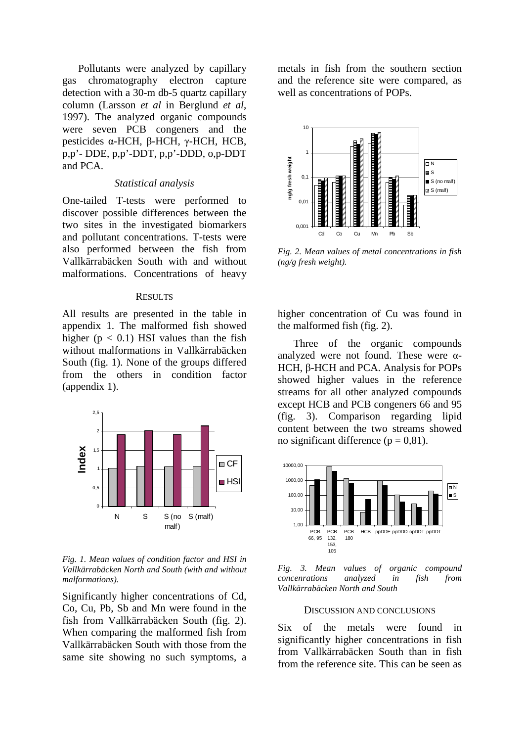Pollutants were analyzed by capillary gas chromatography electron capture detection with a 30-m db-5 quartz capillary column (Larsson *et al* in Berglund *et al*, 1997). The analyzed organic compounds were seven PCB congeners and the pesticides α-HCH, β-HCH, γ-HCH, HCB, p,p'- DDE, p,p'-DDT, p,p'-DDD, o,p-DDT and PCA.

### *Statistical analysis*

One-tailed T-tests were performed to discover possible differences between the two sites in the investigated biomarkers and pollutant concentrations. T-tests were also performed between the fish from Vallkärrabäcken South with and without malformations. Concentrations of heavy

#### **RESULTS**

All results are presented in the table in appendix 1. The malformed fish showed higher ( $p < 0.1$ ) HSI values than the fish without malformations in Vallkärrabäcken South (fig. 1). None of the groups differed from the others in condition factor (appendix 1).



*Fig. 1. Mean values of condition factor and HSI in Vallkärrabäcken North and South (with and without malformations).* 

Significantly higher concentrations of Cd, Co, Cu, Pb, Sb and Mn were found in the fish from Vallkärrabäcken South (fig. 2). When comparing the malformed fish from Vallkärrabäcken South with those from the same site showing no such symptoms, a metals in fish from the southern section and the reference site were compared, as well as concentrations of POPs.



*Fig. 2. Mean values of metal concentrations in fish (ng/g fresh weight).* 

higher concentration of Cu was found in the malformed fish (fig. 2).

Three of the organic compounds analyzed were not found. These were  $\alpha$ -HCH, β-HCH and PCA. Analysis for POPs showed higher values in the reference streams for all other analyzed compounds except HCB and PCB congeners 66 and 95 (fig. 3). Comparison regarding lipid content between the two streams showed no significant difference ( $p = 0.81$ ).



*Fig. 3. Mean values of organic compound concenrations analyzed in fish from Vallkärrabäcken North and South* 

#### DISCUSSION AND CONCLUSIONS

Six of the metals were found in significantly higher concentrations in fish from Vallkärrabäcken South than in fish from the reference site. This can be seen as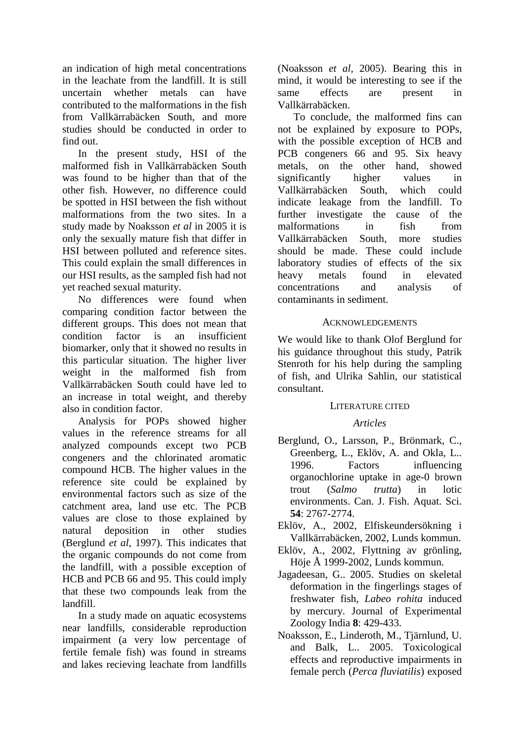an indication of high metal concentrations in the leachate from the landfill. It is still uncertain whether metals can have contributed to the malformations in the fish from Vallkärrabäcken South, and more studies should be conducted in order to find out.

In the present study, HSI of the malformed fish in Vallkärrabäcken South was found to be higher than that of the other fish. However, no difference could be spotted in HSI between the fish without malformations from the two sites. In a study made by Noaksson *et al* in 2005 it is only the sexually mature fish that differ in HSI between polluted and reference sites. This could explain the small differences in our HSI results, as the sampled fish had not yet reached sexual maturity.

No differences were found when comparing condition factor between the different groups. This does not mean that condition factor is an insufficient biomarker, only that it showed no results in this particular situation. The higher liver weight in the malformed fish from Vallkärrabäcken South could have led to an increase in total weight, and thereby also in condition factor.

Analysis for POPs showed higher values in the reference streams for all analyzed compounds except two PCB congeners and the chlorinated aromatic compound HCB. The higher values in the reference site could be explained by environmental factors such as size of the catchment area, land use etc. The PCB values are close to those explained by natural deposition in other studies (Berglund *et al*, 1997). This indicates that the organic compounds do not come from the landfill, with a possible exception of HCB and PCB 66 and 95. This could imply that these two compounds leak from the landfill.

In a study made on aquatic ecosystems near landfills, considerable reproduction impairment (a very low percentage of fertile female fish) was found in streams and lakes recieving leachate from landfills

(Noaksson *et al,* 2005). Bearing this in mind, it would be interesting to see if the same effects are present in Vallkärrabäcken.

To conclude, the malformed fins can not be explained by exposure to POPs, with the possible exception of HCB and PCB congeners 66 and 95. Six heavy metals, on the other hand, showed significantly higher values in Vallkärrabäcken South, which could indicate leakage from the landfill. To further investigate the cause of the malformations in fish from Vallkärrabäcken South, more studies should be made. These could include laboratory studies of effects of the six heavy metals found in elevated concentrations and analysis of contaminants in sediment.

## **ACKNOWLEDGEMENTS**

We would like to thank Olof Berglund for his guidance throughout this study, Patrik Stenroth for his help during the sampling of fish, and Ulrika Sahlin, our statistical consultant.

## LITERATURE CITED

## *Articles*

- Berglund, O., Larsson, P., Brönmark, C., Greenberg, L., Eklöv, A. and Okla, L.. 1996. Factors influencing organochlorine uptake in age-0 brown trout (*Salmo trutta*) in lotic environments. Can. J. Fish. Aquat. Sci. **54**: 2767-2774.
- Eklöv, A., 2002, Elfiskeundersökning i Vallkärrabäcken, 2002, Lunds kommun.
- Eklöv, A., 2002, Flyttning av grönling, Höje Å 1999-2002, Lunds kommun.
- Jagadeesan, G.. 2005. Studies on skeletal deformation in the fingerlings stages of freshwater fish, *Labeo rohita* induced by mercury. Journal of Experimental Zoology India **8**: 429-433.
- Noaksson, E., Linderoth, M., Tjärnlund, U. and Balk, L.. 2005. Toxicological effects and reproductive impairments in female perch (*Perca fluviatilis*) exposed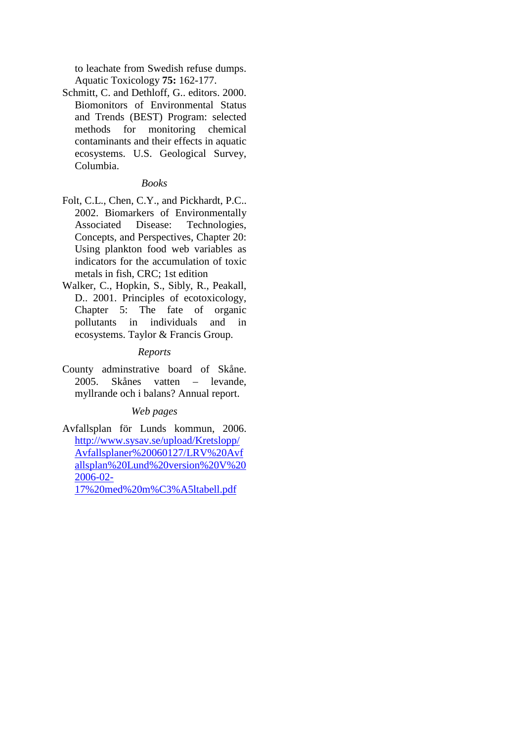to leachate from Swedish refuse dumps. Aquatic Toxicology **75:** 162-177.

Schmitt, C. and Dethloff, G.. editors. 2000. Biomonitors of Environmental Status and Trends (BEST) Program: selected methods for monitoring chemical contaminants and their effects in aquatic ecosystems. U.S. Geological Survey, Columbia.

## *Books*

- Folt, C.L., Chen, C.Y., and Pickhardt, P.C.. 2002. Biomarkers of Environmentally Associated Disease: Technologies, Concepts, and Perspectives, Chapter 20: Using plankton food web variables as indicators for the accumulation of toxic metals in fish, CRC; 1st edition
- Walker, C., Hopkin, S., Sibly, R., Peakall, D.. 2001. Principles of ecotoxicology, Chapter 5: The fate of organic pollutants in individuals and in ecosystems. Taylor & Francis Group.

## *Reports*

County adminstrative board of Skåne. 2005. Skånes vatten – levande, myllrande och i balans? Annual report.

# *Web pages*

Avfallsplan för Lunds kommun, 2006. http://www.sysav.se/upload/Kretslopp/ Avfallsplaner%20060127/LRV%20Avf allsplan%20Lund%20version%20V%20 2006-02-

17%20med%20m%C3%A5ltabell.pdf